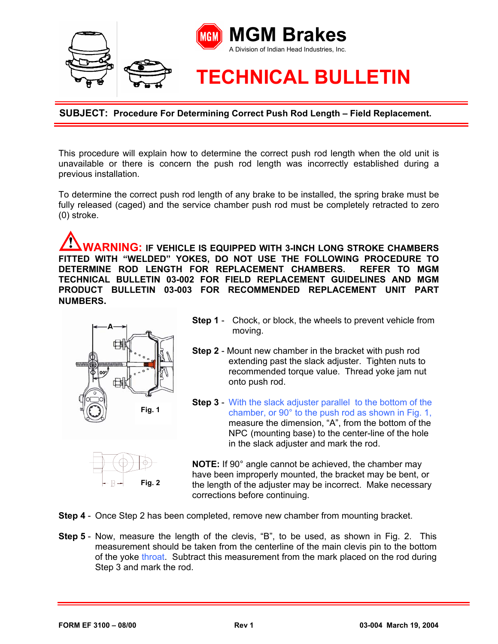

**SUBJECT: Procedure For Determining Correct Push Rod Length – Field Replacement.**

This procedure will explain how to determine the correct push rod length when the old unit is unavailable or there is concern the push rod length was incorrectly established during a previous installation.

To determine the correct push rod length of any brake to be installed, the spring brake must be fully released (caged) and the service chamber push rod must be completely retracted to zero (0) stroke.

**WARNING: IF VEHICLE IS EQUIPPED WITH 3-INCH LONG STROKE CHAMBERS FITTED WITH "WELDED" YOKES, DO NOT USE THE FOLLOWING PROCEDURE TO DETERMINE ROD LENGTH FOR REPLACEMENT CHAMBERS. REFER TO MGM TECHNICAL BULLETIN 03-002 FOR FIELD REPLACEMENT GUIDELINES AND MGM PRODUCT BULLETIN 03-003 FOR RECOMMENDED REPLACEMENT UNIT PART NUMBERS.** 



- **Step 1** Chock, or block, the wheels to prevent vehicle from moving.
- **Step 2**  Mount new chamber in the bracket with push rod extending past the slack adjuster. Tighten nuts to recommended torque value. Thread yoke jam nut onto push rod.
- **Step 3** With the slack adjuster parallel to the bottom of the chamber, or 90° to the push rod as shown in Fig. 1, measure the dimension, "A", from the bottom of the NPC (mounting base) to the center-line of the hole in the slack adjuster and mark the rod.



**NOTE:** If 90° angle cannot be achieved, the chamber may have been improperly mounted, the bracket may be bent, or the length of the adjuster may be incorrect. Make necessary corrections before continuing.

- **Step 4**  Once Step 2 has been completed, remove new chamber from mounting bracket.
- **Step 5**  Now, measure the length of the clevis, "B", to be used, as shown in Fig. 2. This measurement should be taken from the centerline of the main clevis pin to the bottom of the yoke throat. Subtract this measurement from the mark placed on the rod during Step 3 and mark the rod.